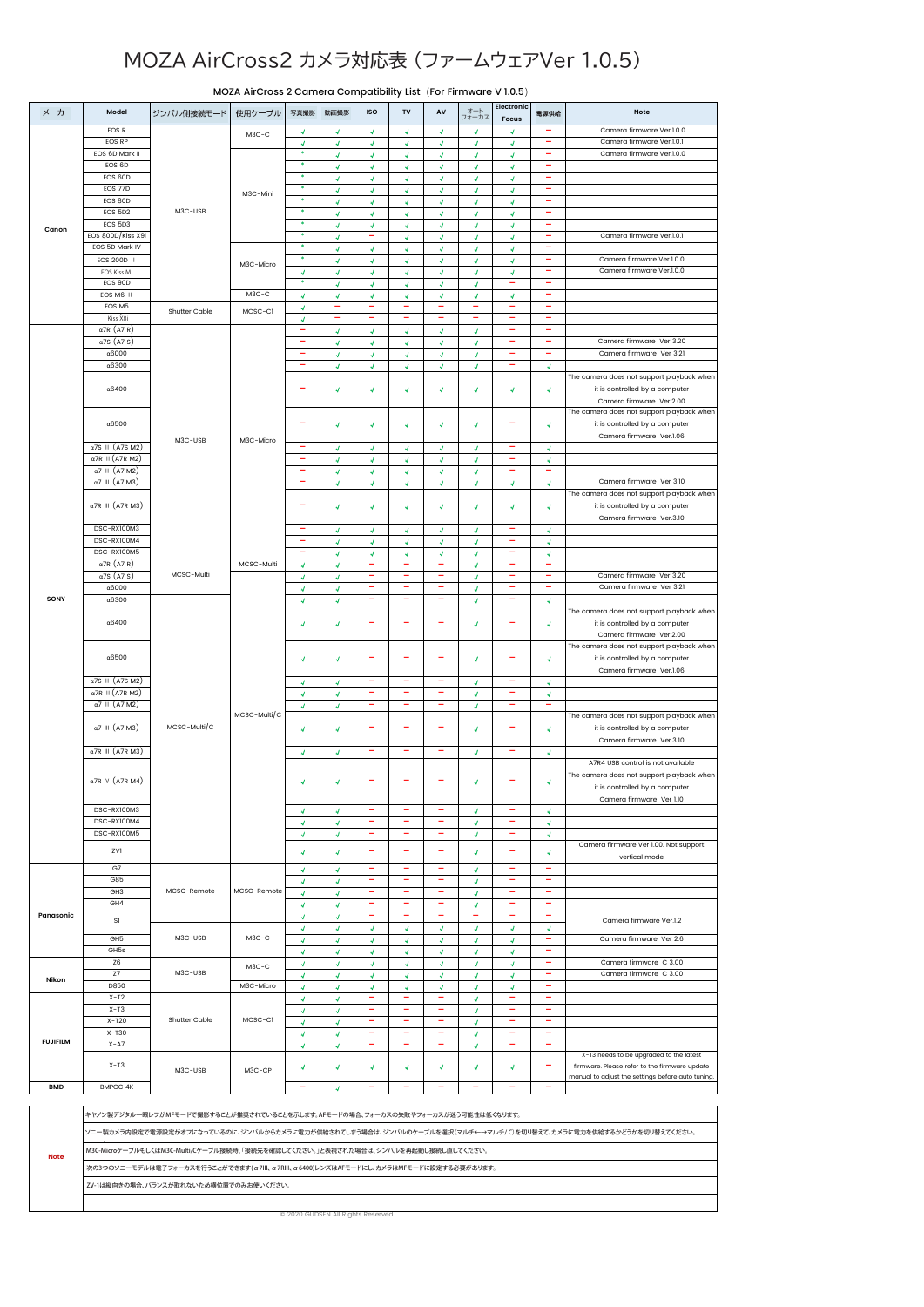## MOZA AirCross2 カメラ対応表 (ファームウェアVer 1.0.5)

|                 |                          |               | MOZA AIrCross 2 Camera Compatibility List (For Firmware V 1.0.5) |                          |                            |                          |                          |                          |              |                          |                          |                                                   |
|-----------------|--------------------------|---------------|------------------------------------------------------------------|--------------------------|----------------------------|--------------------------|--------------------------|--------------------------|--------------|--------------------------|--------------------------|---------------------------------------------------|
| メーカー            | Model                    | ジンバル側接続モード    | 使用ケーブル                                                           | 写真撮影                     | 動画撮影                       | <b>ISO</b>               | TV                       | AV                       | オート<br>フォーカス | Electronic               | 電源供給                     | <b>Note</b>                                       |
|                 |                          |               |                                                                  |                          |                            |                          |                          |                          |              | Focus                    |                          |                                                   |
|                 | EOS R                    |               | $M3C-C$                                                          | 4                        | ∢                          | J                        | J                        | 4                        | 4            | J                        |                          | Camera firmware Ver.1.0.0                         |
|                 | EOS RP                   |               |                                                                  | 4<br>$\bullet$           | $\boldsymbol{J}$           | 4                        | 4                        | ∢                        | 4.           | 4.                       | ۰                        | Camera firmware Ver.1.0.1                         |
|                 | EOS 6D Mark II           |               |                                                                  | ٠                        | $\boldsymbol{J}$           | 4                        | 4                        | 4                        | 4            | 4                        | ۰                        | Camera firmware Ver.1.0.0                         |
|                 | EOS 6D                   |               |                                                                  | $\bullet$                | $\boldsymbol{J}$           | 4                        | 4                        | 4.                       | 4            | 4                        |                          |                                                   |
|                 | EOS 60D                  |               |                                                                  | ٠                        | 4                          | 4                        | 4                        | 4                        | 4            | 4                        | $\overline{\phantom{a}}$ |                                                   |
|                 | EOS 77D                  |               | M3C-Mini                                                         | ٠                        | $\boldsymbol{J}$           | 4                        | 4                        | 4                        | 4            | 4                        | ۰                        |                                                   |
|                 | EOS 80D                  |               |                                                                  |                          | Ñ                          | J                        |                          | 4                        | 4            | 4                        | $\overline{\phantom{a}}$ |                                                   |
|                 | EOS 5D2                  | M3C-USB       |                                                                  | ٠                        | $\overline{\mathcal{A}}$   | 4                        | 4                        | 4                        | 4            | 4                        |                          |                                                   |
| Canon           | EOS 5D3                  |               |                                                                  | ٠                        | Ñ                          | J                        | 4                        | J                        | J            | 4                        | $\overline{\phantom{a}}$ |                                                   |
|                 | EOS 800D/Kiss X9i        |               |                                                                  | ٠                        | $\boldsymbol{J}$           |                          | 4                        | 4                        | 4            | 4                        | ۰                        | Camera firmware Ver.1.0.1                         |
|                 | EOS 5D Mark IV           |               |                                                                  | ٠                        | $\boldsymbol{J}$           | 4                        | 4                        | 4                        | 4            | 4                        | ۰                        |                                                   |
|                 | EOS 200D II              |               | M3C-Micro                                                        | ٠                        | $\overline{\mathcal{A}}$   | 4                        | 4                        | 4                        | 4            | 4                        | ۰                        | Camera firmware Ver.1.0.0                         |
|                 | <b>EOS Kiss M</b>        |               |                                                                  | $\boldsymbol{J}$         | $\boldsymbol{d}$           | 4                        | 4                        | 4                        | 4            | 4                        | ۰                        | Camera firmware Ver.1.0.0                         |
|                 | EOS 90D                  |               |                                                                  | ٠                        | $\boldsymbol{d}$           | 4                        | 4                        | 4                        | 4            | -                        | ۰                        |                                                   |
|                 | EOS M6 II                |               | $M3C-C$                                                          | $\boldsymbol{d}$         | $\boldsymbol{J}$           | 4                        | 4                        | 4                        | 4            | 4                        | ۰                        |                                                   |
|                 | EOS M5                   | Shutter Cable | MCSC-CI                                                          | $\boldsymbol{J}$         | ۰                          | ۰                        | ۰                        | ۰                        | ۰            | ۰                        | $\overline{\phantom{m}}$ |                                                   |
|                 | Kiss X8i                 |               |                                                                  | $\boldsymbol{J}$         |                            |                          | ۰                        | ۰                        | ۰            | ۰                        | $\overline{\phantom{m}}$ |                                                   |
|                 | $\alpha$ 7R (A7 R)       |               |                                                                  | ۰                        | $\boldsymbol{J}$           | 4                        | $\mathbf{J}$             | Ā.                       | $\mathbf{J}$ | ۰                        | ۰                        |                                                   |
|                 | $\alpha$ 7S (A7 S)       |               |                                                                  |                          | $\boldsymbol{d}$           | 4                        | 4                        | 4                        | 4            |                          | ۰                        | Camera firmware Ver 3.20                          |
|                 | α6000                    |               |                                                                  | ۰                        | $\overline{\mathcal{A}}$   | 4                        | 4                        | 4                        | 4            | ۰                        | ۰                        | Camera firmware Ver 3.21                          |
|                 | $\alpha$ 6300            |               |                                                                  | ۰                        | $\boldsymbol{J}$           | 4                        | Ā,                       | 4                        | 4            | ۰                        | $\boldsymbol{J}$         |                                                   |
|                 |                          |               |                                                                  |                          |                            |                          |                          |                          |              |                          |                          | The camera does not support playback when         |
|                 | $\alpha$ 6400            |               |                                                                  | ۳                        | 4                          | 4                        | J                        | J                        | J            | 4                        | 4                        | it is controlled by a computer                    |
|                 |                          |               |                                                                  |                          |                            |                          |                          |                          |              |                          |                          | Camera firmware Ver.2.00                          |
|                 |                          |               |                                                                  |                          |                            |                          |                          |                          |              |                          |                          | The camera does not support playback when         |
|                 | $\alpha$ 6500            |               |                                                                  | ۳                        | $\boldsymbol{J}$           | 4                        | 4                        | 4                        | 4            |                          | 4                        | it is controlled by a computer                    |
|                 |                          |               |                                                                  |                          |                            |                          |                          |                          |              |                          |                          | Camera firmware Ver.1.06                          |
|                 | α7S II (A7S M2)          | M3C-USB       | M3C-Micro                                                        | ۰                        | 4                          | J                        | J                        | J                        | 4            | ۰                        | J                        |                                                   |
|                 | $\alpha$ 7R II (A7R M2)  |               |                                                                  |                          | $\boldsymbol{J}$           | 4                        | 4                        | 4.                       | 4            | ۰                        | 4                        |                                                   |
|                 | $\alpha$ 7    (A7 M2)    |               |                                                                  | $\overline{\phantom{a}}$ | $\boldsymbol{J}$           | 4                        | 4                        | 4                        | 4            | ۰                        | ۰                        |                                                   |
|                 | $\alpha$ 7 III (A7 M3)   |               |                                                                  | ÷                        | $\boldsymbol{\mathcal{A}}$ | 4                        | 4                        | 4.                       | 4            | 4                        | ∢                        | Camera firmware Ver 3.10                          |
|                 |                          |               |                                                                  |                          |                            |                          |                          |                          |              |                          |                          | The camera does not support playback when         |
|                 | α7R III (A7R M3)         |               |                                                                  |                          | 4                          | 4                        | 4                        |                          |              |                          |                          |                                                   |
|                 |                          |               |                                                                  |                          |                            |                          |                          | 4                        | 4            | 4                        | 4                        | it is controlled by a computer                    |
|                 | DSC-RX100M3              |               |                                                                  | -                        |                            |                          |                          |                          |              |                          |                          | Camera firmware Ver.3.10                          |
|                 | DSC-RX100M4              |               |                                                                  | $\overline{\phantom{a}}$ | ∢                          | 4                        | 4                        | 4                        | 4            | $\overline{\phantom{a}}$ | 4                        |                                                   |
|                 |                          |               |                                                                  |                          | Ñ                          | J                        | 4                        | 4                        | 4            |                          | 4                        |                                                   |
|                 | DSC-RX100M5              |               |                                                                  | ۰                        | 4                          | 4                        | 4                        | 4                        | 4            | ۰                        | 4                        |                                                   |
|                 | $\alpha$ 7R (A7 R)       |               | MCSC-Multi                                                       | 4                        | Ñ                          | ۰                        | ۰                        | ۰                        | J            | $\overline{\phantom{a}}$ | $\overline{\phantom{m}}$ |                                                   |
|                 | $\alpha$ 7S (A7 S)       | MCSC-Multi    |                                                                  | 4                        | 4                          | ۰                        |                          | ۰                        | 4            | ۰                        |                          | Camera firmware Ver 3.20                          |
|                 | α6000                    |               |                                                                  | 4                        | $\boldsymbol{J}$           | ۳                        | ۳                        | ۰                        | 4            | ۰                        | ۰                        | Camera firmware Ver 3.21                          |
| SONY            | $\alpha$ 6300            |               |                                                                  | $\boldsymbol{J}$         | $\boldsymbol{J}$           | -                        | ۰                        | -                        | 4            | ۰                        | $\boldsymbol{J}$         |                                                   |
|                 |                          |               |                                                                  |                          |                            |                          |                          |                          | J            |                          | ∢                        | The camera does not support playback when         |
|                 | α6400                    |               |                                                                  | 4                        | Ñ                          |                          |                          |                          |              |                          |                          | it is controlled by a computer                    |
|                 |                          |               |                                                                  |                          |                            |                          |                          |                          |              |                          |                          | Camera firmware Ver.2.00                          |
|                 |                          |               |                                                                  |                          |                            |                          |                          |                          |              |                          |                          | The camera does not support playback when         |
|                 | α6500                    |               |                                                                  | ∢                        | $\overline{\mathcal{A}}$   |                          |                          |                          | 4            |                          | 4                        | it is controlled by a computer                    |
|                 |                          |               |                                                                  |                          |                            |                          |                          |                          |              |                          |                          | Camera firmware Ver.1.06                          |
|                 | α7S II (A7S M2)          |               |                                                                  | 4                        | $\boldsymbol{J}$           | ۰                        | ۳                        | ۰                        | 4            | ۰                        | $\boldsymbol{J}$         |                                                   |
|                 | $\alpha$ 7R II (A7R M2)  |               |                                                                  | $\boldsymbol{J}$         | $\boldsymbol{J}$           | $\overline{\phantom{m}}$ | ۰                        | ۰                        | 4            | ۰                        | $\boldsymbol{J}$         |                                                   |
|                 | $\alpha$ 7    (A7 M2)    |               |                                                                  | $\boldsymbol{J}$         | $\overline{\mathcal{A}}$   |                          |                          |                          | 4            |                          |                          |                                                   |
|                 |                          |               | MCSC-Multi/C                                                     |                          |                            |                          |                          |                          |              |                          |                          | The camera does not support playback when         |
|                 | $\alpha$ 7 III (A7 M3)   | MCSC-Multi/C  |                                                                  | $\boldsymbol{J}$         | 4                          |                          |                          |                          | J            |                          | 4                        | it is controlled by a computer                    |
|                 |                          |               |                                                                  |                          |                            |                          |                          |                          |              |                          |                          | Camera firmware Ver.3.10                          |
|                 | $\alpha$ 7R III (A7R M3) |               |                                                                  | $\boldsymbol{J}$         | $\overline{A}$             |                          |                          |                          | 4            |                          | 4                        |                                                   |
|                 |                          |               |                                                                  |                          |                            |                          |                          |                          |              |                          |                          | A7R4 USB control is not available                 |
|                 |                          |               |                                                                  |                          |                            |                          |                          |                          |              |                          |                          | The camera does not support playback when         |
|                 | α7R IV (A7R M4)          |               |                                                                  | Ā                        | Ñ                          |                          |                          |                          | 4            |                          | 4                        | it is controlled by a computer                    |
|                 |                          |               |                                                                  |                          |                            |                          |                          |                          |              |                          |                          | Camera firmware Ver 1.10                          |
|                 | DSC-RX100M3              |               |                                                                  | 4                        | $\overline{\mathcal{A}}$   |                          |                          |                          | 4            |                          | 4                        |                                                   |
|                 | DSC-RX100M4              |               |                                                                  | 4                        | ∢                          | ۰                        | ۳                        | ۰                        | J.           | ۰                        | 4                        |                                                   |
|                 | DSC-RX100M5              |               |                                                                  | 4                        | 4                          | $\overline{\phantom{a}}$ | -                        | ۰                        | 4            | ۰                        | 4                        |                                                   |
|                 |                          |               |                                                                  |                          |                            |                          |                          |                          |              |                          |                          | Camera firmware Ver 1.00. Not support             |
|                 | ZVI                      |               |                                                                  | 4                        | $\overline{\mathcal{A}}$   | ÷                        | ÷                        | ۰                        | 4            | ۰                        | $\boldsymbol{J}$         | vertical mode                                     |
|                 | G7                       |               |                                                                  | $\mathcal{A}^{\dagger}$  | $\boldsymbol{J}$           | ۰                        | ۰                        | ۰                        | 4.           | ۰                        | ۰                        |                                                   |
|                 | G85                      |               |                                                                  | 4                        | $\boldsymbol{J}$           | $\overline{\phantom{a}}$ | $\overline{\phantom{m}}$ | $\overline{\phantom{a}}$ | 4            | $\overline{\phantom{a}}$ | $\overline{\phantom{a}}$ |                                                   |
|                 | GH <sub>3</sub>          | MCSC-Remote   | MCSC-Remote                                                      | $\boldsymbol{J}$         | $\boldsymbol{J}$           | ۰                        | ۰                        | ۰                        | 4            | ۰                        | ۰                        |                                                   |
|                 | GH4                      |               |                                                                  | 4                        | $\overline{\mathcal{A}}$   | $\overline{\phantom{m}}$ | $\overline{\phantom{m}}$ | ÷                        | 4            | $\overline{\phantom{m}}$ | $\overline{\phantom{m}}$ |                                                   |
| Panasonic       |                          |               |                                                                  | 4                        | $\boldsymbol{J}$           | -                        | ۰                        | ۰                        | ۰            | ۰                        | -                        |                                                   |
|                 | S1                       |               | $M3C-C$                                                          | 4                        | $\overline{\mathcal{A}}$   | 4                        | 4                        | 4                        | 4            | 4                        | $\boldsymbol{d}$         | Camera firmware Ver.1.2                           |
|                 | GH <sub>5</sub>          | M3C-USB       |                                                                  | $\boldsymbol{J}$         | $\boldsymbol{J}$           | 4                        | 4                        | 4                        | Ñ.           | 4                        | ۰                        | Camera firmware Ver 2.6                           |
|                 | GH <sub>5s</sub>         |               |                                                                  | 4                        | $\boldsymbol{J}$           | 4                        | A.                       | ¥.                       | Ā.           | 4                        | ۰                        |                                                   |
|                 | <b>Z6</b>                |               |                                                                  | $\boldsymbol{J}$         | $\boldsymbol{J}$           | ∢                        | 4                        | 4                        | A.           | $\mathcal{L}$            | ۰                        | Camera firmware C 3.00                            |
|                 | Z7                       | M3C-USB       | $M3C-C$                                                          | 4                        | $\boldsymbol{d}$           | 4                        | 4                        | ¥.                       | Ñ.           | 4                        | ۰                        | Camera firmware C 3.00                            |
| Nikon           | D850                     |               | M3C-Micro                                                        | $\boldsymbol{J}$         | $\boldsymbol{d}$           | $\overline{\mathcal{A}}$ | 4                        | 4.                       | Ā.           | Ā.                       | -                        |                                                   |
|                 | $X-T2$                   |               |                                                                  |                          |                            | ۰                        | ۰                        | ÷                        |              | ۰                        | ۰                        |                                                   |
|                 | $X-T3$                   |               |                                                                  | 4                        | $\boldsymbol{J}$           | ۰                        | ۰                        | н.                       | Ā.           | -                        | $\overline{\phantom{a}}$ |                                                   |
|                 | $X-T20$                  | Shutter Cable | MCSC-CI                                                          | $\boldsymbol{J}$         | $\boldsymbol{J}$           |                          | -                        | -                        | 4            | ۰                        | $\overline{\phantom{m}}$ |                                                   |
|                 | $X-T30$                  |               |                                                                  | $\boldsymbol{J}$         | $\boldsymbol{J}$           | ۰                        | -                        | н.                       | Ñ.           | -                        | -                        |                                                   |
| <b>FUJIFILM</b> | $X - A7$                 |               |                                                                  | 4                        | $\boldsymbol{d}$           | ۰                        | ۰                        | ۰                        | Ā.           | ۰                        | ۰                        |                                                   |
|                 |                          |               |                                                                  | 4                        | $\boldsymbol{d}$           |                          |                          |                          | 4            |                          |                          | X-T3 needs to be upgraded to the latest           |
|                 | $X-T3$                   |               |                                                                  | 4                        | 4                          | 4                        |                          | 4                        | 4            | 4                        |                          | firmware. Please refer to the firmware update     |
|                 |                          | M3C-USB       | M3C-CP                                                           |                          |                            |                          | 4                        |                          |              |                          |                          | manual to adjust the settings before auto tuning. |
| <b>BMD</b>      | BMPCC 4K                 |               |                                                                  |                          | 4                          | ۳                        |                          | ۰                        |              | ۰                        | ۰                        |                                                   |
|                 |                          |               |                                                                  |                          |                            |                          |                          |                          |              |                          |                          |                                                   |

MOZA AirCross 2 Camera Compatibility List(For Firmware V 1.0.5)

| Note | キャノン製デジタル一眼レフがMFモードで撮影することが推奨されていることを示します。AFモードの場合、フォーカスの失敗やフォーカスが迷う可能性は低くなります。                               |  |  |  |  |  |  |  |  |
|------|---------------------------------------------------------------------------------------------------------------|--|--|--|--|--|--|--|--|
|      | ソニー製カメラ内設定で電源設定がオフになっているのに、ジンバルからカメラに電力が供給されてしまう場合は、ジンバルのケーブルを選択(マルチ←→マルチ/C)を切り替えて、カメラに電力を供給するかどうかを切り替えてください。 |  |  |  |  |  |  |  |  |
|      | M3C-MicroケーブルもしくはM3C-Multi/Cケーブル接続時、「接続先を確認してください。」と表視された場合は、ジンバルを再起動し接続し直してください。                             |  |  |  |  |  |  |  |  |
|      | 次の3つのソニーモデルは電子フォーカスを行うことができます(α7lll、α7Rlll、α6400)レンズはAFモードにし、カメラはMFモードに設定する必要があります。                           |  |  |  |  |  |  |  |  |
|      | ZV-1は縦向きの場合、バランスが取れないため構位置でのみお使いください。                                                                         |  |  |  |  |  |  |  |  |
|      |                                                                                                               |  |  |  |  |  |  |  |  |

© 2020 GUDSEN All Rights Res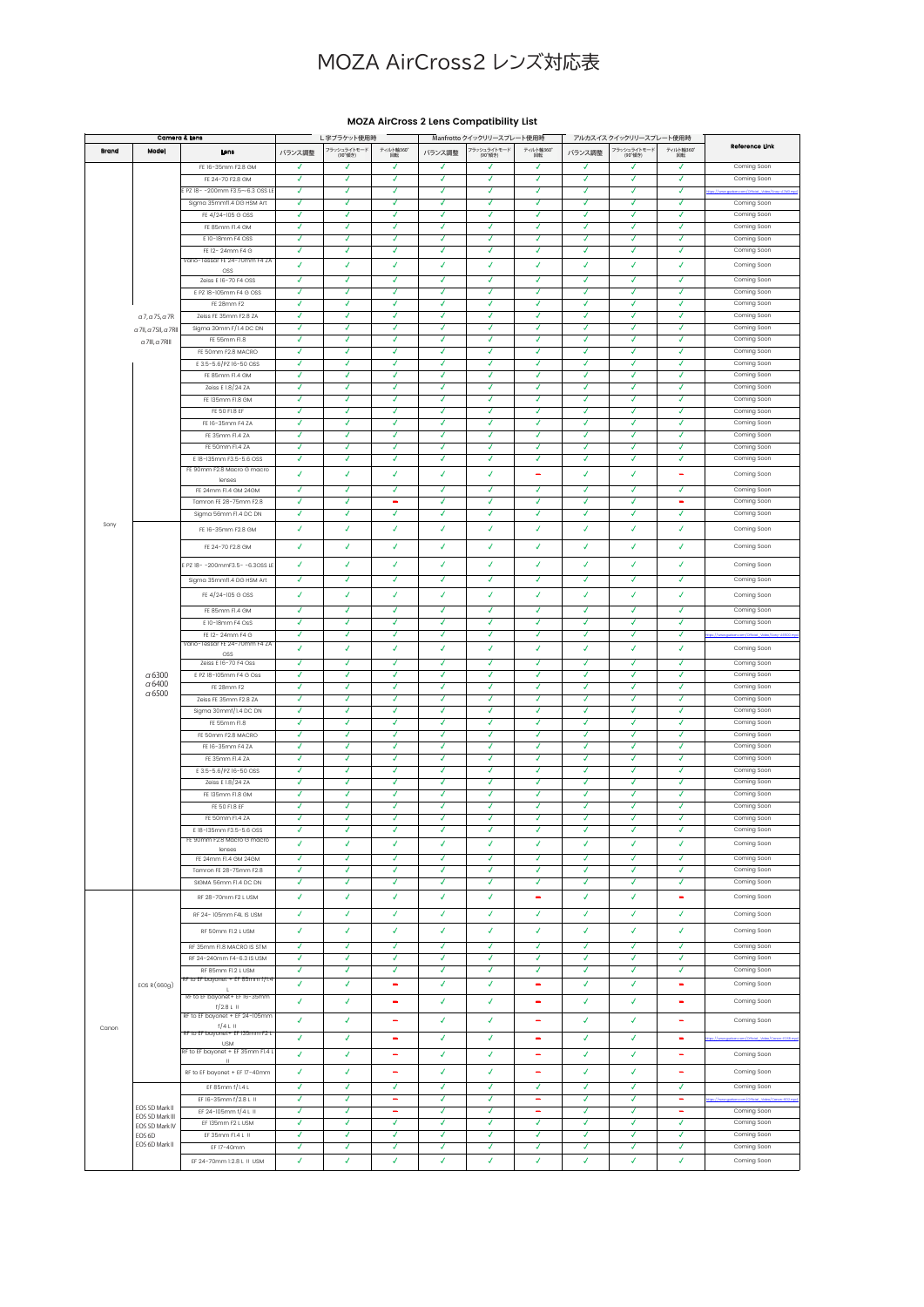## MOZA AirCross2 レンズ対応表

| Camera & Lens |                                   |                                                  | L字ブラケット使用時 |                |                          | Manfrotto クイックリリースプレート使用時 |                |                          | アルカスイスクイックリリースプレート使用時 |                        |                          |                |
|---------------|-----------------------------------|--------------------------------------------------|------------|----------------|--------------------------|---------------------------|----------------|--------------------------|-----------------------|------------------------|--------------------------|----------------|
| Brand         | Model                             | Lons                                             | バランス調整     | フラッシュライトモード    | ティルト軸360°                | バランス調整                    | フラッシュライトモード    | ティルト軸360                 | バランス調整                | フラッシュライトモード<br>(90°傾き) | ティルト軸360°                | Reference Link |
|               |                                   |                                                  |            | (90°傾き)        | 回転                       |                           | (90°倾き)        | 回転                       |                       |                        | 回転                       |                |
|               |                                   | FE 16-35mm F2.8 GM                               | √          | √              | √                        | √                         | √              | √                        | √                     | √                      | √                        | Coming Soon    |
|               |                                   | FE 24-70 F2.8 GM                                 | ◢          | ◢              | ◢                        | ◢                         | ◢              | √                        | √                     | √                      | √                        | Coming Soon    |
|               |                                   | PZ 18--200mm F3.5~6.3 OSS LE                     | ◢          | ◢              | ◢                        | √                         | √              | √                        | √                     | √                      | √                        |                |
|               |                                   | Sigma 35mmf1.4 DG HSM Art                        | √          | J              | ┙                        | J                         | J              | J                        | J                     | J                      | J                        | Coming Soon    |
|               |                                   | FE 4/24-105 G OSS                                | √          | √              | √                        | √                         | √              | √                        | √                     | √                      | √                        | Coming Soon    |
|               |                                   | FE 85mm FI.4 GM                                  | √          | √              | √                        | √                         | J              | J                        | J                     | √                      | √                        | Coming Soon    |
|               |                                   | E 10-18mm F4 OSS                                 | ◢          | ◢              | ◢                        | √                         | ◢              | J                        | √                     | J                      | √                        | Coming Soon    |
|               |                                   | FE 12-24mm F4 G                                  | √          | J              | √                        | J                         | J              | √                        | √                     | √                      | √                        | Coming Soon    |
|               |                                   | Vario-Tessar FE 24-70mm F4 ZA                    | ¥          | ¥              | ¥                        | ¥                         | 4              | 4                        | V                     | J                      | J                        | Coming Soon    |
|               |                                   | OSS                                              |            |                |                          |                           |                |                          |                       |                        |                          |                |
|               |                                   | Zeiss E 16-70 F4 OSS                             | √          | ┙              | √                        | √                         | √              | √                        | √                     | √                      | √                        | Coming Soon    |
|               |                                   | E PZ 18-105mm F4 G OSS                           | √          | √              | √                        | √                         | √              | J                        | J                     | √                      | √                        | Coming Soon    |
|               |                                   | FE 28mm F2                                       | ◢          | ◢              | √                        | √                         | ◢              | ◢                        | √                     | √                      | √                        | Coming Soon    |
|               | $a$ 7, a 7S, a 7R                 | Zeiss FE 35mm F2.8 ZA                            | J          | J              | ┙                        | J                         | J              | J                        | √                     | √                      | √                        | Coming Soon    |
|               | a 711, a 7SII, a 7RI              | Sigma 30mm F/I.4 DC DN                           | ◢          | ◢              | ◢                        | √                         | √              | √                        | √                     | √                      | √                        | Coming Soon    |
|               | $a$ 7III, $a$ 7RIII               | FE 55mm FI.8                                     | √          | J              | ◢                        | ◢                         | √              | √                        | √                     | √                      | √                        | Coming Soon    |
|               |                                   | FE 50mm F2.8 MACRO                               | ◢          | ◢              | √                        | √                         | √              | √                        | √                     | √                      | √                        | Coming Soon    |
|               |                                   | E 3.5-5.6/PZ 16-50 OSS                           | J          | J              | √                        | J                         | J              | J                        | J                     | √                      | J                        | Coming Soon    |
|               |                                   |                                                  | ◢          | √              | ◢                        | √                         | √              | √                        | √                     | √                      | √                        |                |
|               |                                   | FE 85mm FL4 GM                                   |            |                |                          |                           |                |                          |                       |                        |                          | Coming Soon    |
|               |                                   | Zeiss E 1.8/24 ZA                                | √          | √              | ◢                        | ◢                         | J              | J                        | √                     | √                      | √                        | Coming Soon    |
|               |                                   | FE 135mm F1.8 GM                                 | ◢          | ◢              | J                        | J                         | J              | J                        | 7                     | J                      | 7                        | Coming Soon    |
|               |                                   | FE 50 FI.8 EF                                    | √          | √              | ◢                        | ◢                         | ◢              | J                        | √                     | ◢                      | √                        | Coming Soon    |
|               |                                   | FE 16-35mm F4 ZA                                 | ◢          | ◢              | ◢                        | √                         | √              | √                        | √                     | √                      | √                        | Coming Soon    |
|               |                                   | FE 35mm FI.4 ZA                                  | √          | √              | √                        | √                         | √              | √                        | √                     | √                      | √                        | Coming Soon    |
|               |                                   | FE 50mm FI.4 ZA                                  | J          | J              | J                        | ◢                         | J              | J                        | J                     | J                      | J                        | Coming Soon    |
|               |                                   | E 18-135mm F3.5-5.6 OSS                          | √          | √              | √                        | √                         | √              | ¥                        | ¥                     | J                      | √                        | Coming Soon    |
|               |                                   | FE 90mm F2.8 Macro G macro                       |            |                |                          |                           |                |                          |                       |                        |                          |                |
|               |                                   | lenses                                           | ¥          | ¥              | √                        | √                         | √              | $\overline{\phantom{m}}$ | J                     | J                      | $\overline{\phantom{0}}$ | Coming Soon    |
|               |                                   | FE 24mm Fl.4 GM 24GM                             | √          | √              | √                        | ◢                         | J              | J                        | √                     | √                      | √                        | Coming Soon    |
|               |                                   | Tamron FE 28-75mm F2.8                           | J          | ┚              | ۰                        | J                         | J              | J                        | ✓                     | 7                      | ۰                        | Coming Soon    |
|               |                                   | Sigma 56mm FI.4 DC DN                            | √          | √              | √                        | √                         | √              | √                        | √                     | √                      | √                        | Coming Soon    |
| Sony          |                                   |                                                  |            |                |                          |                           |                |                          |                       |                        |                          |                |
|               |                                   | FF 16-35mm F2 8 GM                               | ¥          | ¥              | ¥                        | ¥                         | √              | ¥                        | J                     | ¥                      | J                        | Coming Soon    |
|               |                                   | FE 24-70 F2.8 GM                                 | √          | √              | ◢                        | ◢                         | ◢              | √                        | √                     | √                      | √                        | Coming Soon    |
|               |                                   |                                                  |            |                |                          |                           |                |                          |                       |                        |                          |                |
|               |                                   | PZ 18- - 200mmF3.5- - 6.3OSS LE                  | √          | $\overline{I}$ | $\overline{I}$           | ¥                         | ¥              | J                        | J                     | J                      | J                        | Coming Soon    |
|               |                                   | Sigma 35mmf1.4 DG HSM Art                        | ◢          | ◢              | ◢                        | √                         | ◢              | √                        | √                     | √                      | √                        | Coming Soon    |
|               |                                   |                                                  |            |                |                          |                           |                |                          |                       |                        |                          |                |
|               |                                   | FE 4/24-105 G OSS                                | 4          | √              | ◢                        | √                         | √              | √                        | √                     | √                      | J                        | Coming Soon    |
|               |                                   | FE 85mm FI.4 GM                                  | √          | √              | √                        | √                         | √              | √                        | √                     | √                      | √                        | Coming Soon    |
|               |                                   | E 10-18mm F4 OsS                                 | √          | J              | J                        | J                         | J              | J                        | J                     | J                      | √                        | Coming Soon    |
|               |                                   |                                                  | √          | √              | ◢                        | √                         | ◢              | √                        | √                     | √                      | √                        | s://www        |
|               |                                   | FE 12-24mm F4 G<br>Vario-Tessar FE 24-70mm F4 ZA |            |                |                          |                           |                |                          |                       |                        |                          |                |
|               |                                   | OSS                                              | ¥          | ¥              | V                        | ¥                         | 4              | 4                        | 4                     | J                      | J                        | Coming Soon    |
|               |                                   | Zeiss E 16-70 F4 Oss                             | ◢          | ◢              | √                        | √                         | ◢              | √                        | √                     | √                      | √                        | Coming Soon    |
|               | $\alpha$ 6300                     | E PZ 18-105mm F4 G Oss                           | J          | √              | J                        | J                         | √              | √                        | √                     | √                      | √                        | Coming Soon    |
|               | $\alpha$ 6400                     | FE 28mm F2                                       | √          | √              | √                        | √                         | √              | ¥                        | ¥                     | J                      | √                        | Coming Soon    |
|               | $\alpha$ 6500                     | Zeiss FE 35mm F2.8 ZA                            | √          | √              | √                        | ◢                         | √              | √                        | √                     | ٧                      | √                        | Coming Soon    |
|               |                                   |                                                  | √          | √              | √                        | √                         | √              | √                        | √                     | √                      | √                        |                |
|               |                                   | Sigma 30mmf/1.4 DC DN                            |            | ┙              | J                        | ◢                         | J              | J                        | ◢                     | ◢                      | ◢                        | Coming Soon    |
|               |                                   | FE 55mm FI.8                                     | √          |                |                          |                           |                |                          |                       |                        |                          | Coming Soon    |
|               |                                   | FE 50mm F2.8 MACRO                               | √          | J              | J                        | J                         | J              | ℊ                        | J                     | 7                      | 7                        | Coming Soon    |
|               |                                   | FE 16-35mm F4 ZA                                 | ◢          | √              | ◢                        | √                         | J              | √                        | √                     | √                      | √                        | Coming Soon    |
|               |                                   | FE 35mm FI.4 ZA                                  | ◢          | ◢              | ◢                        | ◢                         | ◢              | J                        | √                     | √                      | √                        | Coming Soon    |
|               |                                   | E 3.5-5.6/PZ 16-50 OSS                           | ◢          | ◢              | ◢                        | J                         | J              | √                        | √                     | √                      | √                        | Coming Soon    |
|               |                                   | Zeiss E 1.8/24 ZA                                | √          | ◢              | √                        | √                         | √              | √                        | √                     | √                      | √                        | Coming Soon    |
|               |                                   | FE 135mm F1.8 GM                                 | √          | √              | ◢                        | √                         | J              | J                        | J                     | J                      | J                        | Coming Soon    |
|               |                                   | FE 50 FI.8 EF                                    | ◢          | J              | J                        | ◢                         | J              | J                        | √                     | √                      | J                        | Coming Soon    |
|               |                                   | FE 50mm FI.4 ZA                                  | J          | J              | 7                        | √                         | 7              | 7                        | 7                     | 7                      | 7                        | Coming Soon    |
|               |                                   | E 18-135mm F3.5-5.6 OSS                          | ◢          | √              | J                        | √                         | ◢              | J                        |                       | J                      |                          | Coming Soon    |
|               |                                   | FE 90mm F2.8 Macro G macro                       |            |                |                          |                           |                |                          |                       |                        |                          |                |
|               |                                   | lenses                                           | ¥          | ¥              | ¥                        | ¥                         | 4              | 4                        | 4                     | 4                      | J                        | Coming Soon    |
|               |                                   | FE 24mm FI.4 GM 24GM                             | ◢          | ◢              | ◢                        | ◢                         | $\overline{ }$ | √                        | √                     | √                      | √                        | Coming Soon    |
|               |                                   | Tamron FE 28-75mm F2.8                           | √          | √              | √                        | √                         | ₽              | ₽                        | ¥                     | √                      | ¥                        | Coming Soon    |
|               |                                   | SIGMA 56mm FI.4 DC DN                            | ◢          | ◢              | √                        | √                         | ◢              | √                        | √                     | √                      | √                        | Coming Soon    |
|               |                                   | RF 28-70mm F2 L USM                              | √          | √              | ¥                        | ¥                         | √              | ÷                        | J.                    | ¥                      | $\equiv$                 | Coming Soon    |
|               |                                   |                                                  |            |                |                          |                           |                |                          |                       |                        |                          |                |
|               |                                   | RF 24-105mm F4L IS USM                           | ¥          | ¥              | √                        | √                         | V              | 4                        | √                     | √                      | ¥                        | Coming Soon    |
|               |                                   |                                                  | ¥          | ¥              | ¥                        | ¥                         | ¥              | 4                        | V                     | 4                      | V                        |                |
|               | EOS R(660q)                       | RF 50mm Fl.2 L USM                               |            |                |                          |                           |                |                          |                       |                        |                          | Coming Soon    |
|               |                                   | RF 35mm FI.8 MACRO IS STM                        | ◢          | ◢              | ◢                        | √                         | √              | √                        | √                     | √                      | √                        | Coming Soon    |
|               |                                   | RF 24-240mm F4-6.3 IS USM                        | √          | √              | √                        | √                         | √              | 7                        | √                     | √                      | √                        | Coming Soon    |
|               |                                   | RF 85mm Fl.2 L USM                               | ◢          | ◢              | ◢                        | ◢                         | √              | ◢                        | ◢                     | ◢                      | ◢                        | Coming Soon    |
|               |                                   | RF to EF bayonet + EF 85mm f/1.4                 | ¥          | ¥              | $\overline{\phantom{0}}$ | ¥                         | V              | ÷,                       | ¥                     | ¥                      | ÷                        | Coming Soon    |
|               |                                   | RF to EF bayonet+ EF 16-35mm                     |            |                |                          |                           |                |                          |                       |                        |                          |                |
|               |                                   | $f/2.8 L$ II                                     | ¥          | ¥              | $\equiv$                 | ¥                         | ¥              | ÷                        | 4                     | 4                      | ÷                        | Coming Soon    |
|               |                                   | RF to EF bayonet + EF 24-105mm                   |            |                |                          |                           |                |                          |                       |                        |                          |                |
|               |                                   | $f/4$ L II                                       | ¥          | ¥              | $\overline{\phantom{a}}$ | √                         | ¥              | ÷                        | ¥                     | √                      | $\equiv$                 | Coming Soon    |
| Canon         |                                   | RF to EF bayonet+ EF 135mm F2 L                  | ¥          | 4              | ۰                        | ¥                         | 4              | ۰                        | √                     | √                      | ۰                        |                |
|               |                                   | <b>USM</b>                                       |            |                |                          |                           |                |                          |                       |                        |                          |                |
|               |                                   | RF to EF bayonet + EF 35mm FI.4 L<br>-H.         | √          | √              | $\equiv$                 | √                         | ₽              | ÷                        | ¥                     | √                      | ÷                        | Coming Soon    |
|               |                                   |                                                  | ¥          | √              | ۳                        | ¥                         | ¥              | ۰                        | J.                    | ¥                      | ۰                        | Coming Soon    |
|               |                                   | RF to EF bayonet + EF 17-40mm                    |            |                |                          |                           |                |                          |                       |                        |                          |                |
|               |                                   | EF 85mm f/1.4 L                                  | √          | √              | √                        | √                         | √              | √                        | √                     | √                      | √                        | Coming Soon    |
|               |                                   | EF 16-35mm f/2.8 L II                            | √          | √              | $\overline{\phantom{m}}$ | √                         | ¥              | ÷                        | √                     | ∡                      | ÷                        |                |
|               | EOS 5D Mark II                    | EF 24-105mm f/4 L II                             | ◢          | ◢              | Ξ                        | √                         | √              | Ξ                        | √                     | √                      | Ξ                        | Coming Soon    |
|               | EOS 5D Mark III<br>EOS 5D Mark IV | EF 135mm F2 L USM                                | √          | √              | ¥                        | √                         | 4              | 4                        | 4                     | √                      | ¥                        | Coming Soon    |
|               | EOS 6D                            | EF 35mm FI.4 L II                                | √          | ◢              | √                        | √                         | ✓              | ✓                        | √                     | √                      | √                        | Coming Soon    |
|               | EOS 6D Mark II                    | EF 17-40mm                                       | ◢          | ◢              | ₽                        | ₽                         | ◢              | ₽                        | ¥                     | ◢                      | √                        | Coming Soon    |
|               |                                   |                                                  | ¥          | ¥              | ¥                        | ¥                         | V              | V                        | J                     | J                      | J                        |                |
|               |                                   | EF 24-70mm 1:2.8 L II USM                        |            |                |                          |                           |                |                          |                       |                        |                          | Coming Soon    |

## **MOZA AirCross 2 Lens Compatibility List**